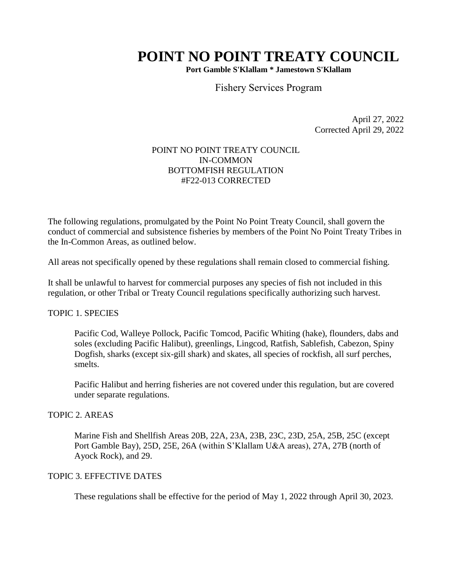# **POINT NO POINT TREATY COUNCIL**

**Port Gamble S'Klallam \* Jamestown S'Klallam**

Fishery Services Program

April 27, 2022 Corrected April 29, 2022

## POINT NO POINT TREATY COUNCIL IN-COMMON BOTTOMFISH REGULATION #F22-013 CORRECTED

The following regulations, promulgated by the Point No Point Treaty Council, shall govern the conduct of commercial and subsistence fisheries by members of the Point No Point Treaty Tribes in the In-Common Areas, as outlined below.

All areas not specifically opened by these regulations shall remain closed to commercial fishing.

It shall be unlawful to harvest for commercial purposes any species of fish not included in this regulation, or other Tribal or Treaty Council regulations specifically authorizing such harvest.

## TOPIC 1. SPECIES

Pacific Cod, Walleye Pollock, Pacific Tomcod, Pacific Whiting (hake), flounders, dabs and soles (excluding Pacific Halibut), greenlings, Lingcod, Ratfish, Sablefish, Cabezon, Spiny Dogfish, sharks (except six-gill shark) and skates, all species of rockfish, all surf perches, smelts.

Pacific Halibut and herring fisheries are not covered under this regulation, but are covered under separate regulations.

#### TOPIC 2. AREAS

Marine Fish and Shellfish Areas 20B, 22A, 23A, 23B, 23C, 23D, 25A, 25B, 25C (except Port Gamble Bay), 25D, 25E, 26A (within S'Klallam U&A areas), 27A, 27B (north of Ayock Rock), and 29.

### TOPIC 3. EFFECTIVE DATES

These regulations shall be effective for the period of May 1, 2022 through April 30, 2023.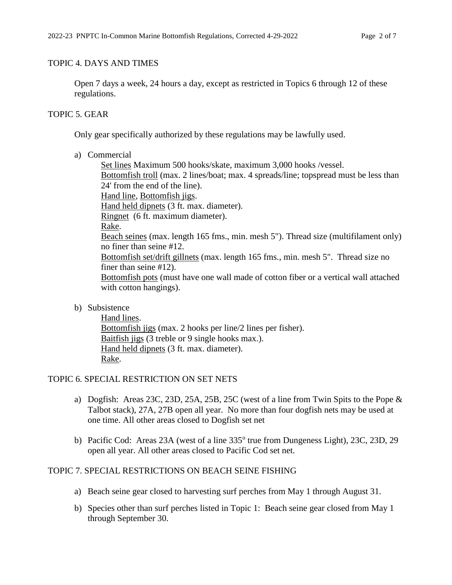## TOPIC 4. DAYS AND TIMES

Open 7 days a week, 24 hours a day, except as restricted in Topics 6 through 12 of these regulations.

## TOPIC 5. GEAR

Only gear specifically authorized by these regulations may be lawfully used.

a) Commercial

Set lines Maximum 500 hooks/skate, maximum 3,000 hooks /vessel. Bottomfish troll (max. 2 lines/boat; max. 4 spreads/line; topspread must be less than 24' from the end of the line). Hand line, Bottomfish jigs. Hand held dipnets (3 ft. max. diameter). Ringnet (6 ft. maximum diameter). Rake. Beach seines (max. length 165 fms., min. mesh 5"). Thread size (multifilament only) no finer than seine #12. Bottomfish set/drift gillnets (max. length 165 fms., min. mesh 5". Thread size no finer than seine #12). Bottomfish pots (must have one wall made of cotton fiber or a vertical wall attached with cotton hangings).

b) Subsistence

Hand lines. Bottomfish jigs (max. 2 hooks per line/2 lines per fisher). Baitfish jigs (3 treble or 9 single hooks max.). Hand held dipnets (3 ft. max. diameter). Rake.

# TOPIC 6. SPECIAL RESTRICTION ON SET NETS

- a) Dogfish: Areas 23C, 23D, 25A, 25B, 25C (west of a line from Twin Spits to the Pope & Talbot stack), 27A, 27B open all year. No more than four dogfish nets may be used at one time. All other areas closed to Dogfish set net
- b) Pacific Cod: Areas 23A (west of a line 335° true from Dungeness Light), 23C, 23D, 29 open all year. All other areas closed to Pacific Cod set net.

# TOPIC 7. SPECIAL RESTRICTIONS ON BEACH SEINE FISHING

- a) Beach seine gear closed to harvesting surf perches from May 1 through August 31.
- b) Species other than surf perches listed in Topic 1: Beach seine gear closed from May 1 through September 30.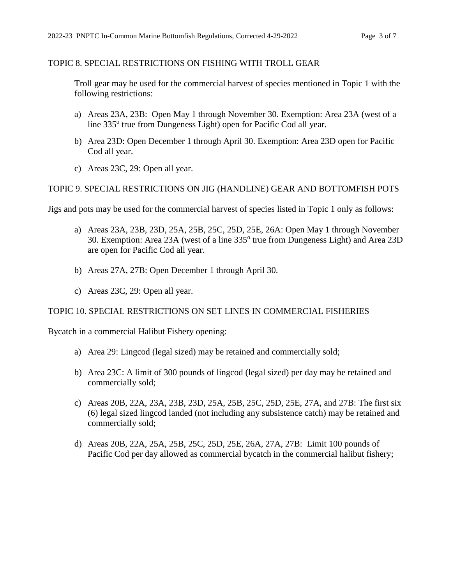### TOPIC 8. SPECIAL RESTRICTIONS ON FISHING WITH TROLL GEAR

Troll gear may be used for the commercial harvest of species mentioned in Topic 1 with the following restrictions:

- a) Areas 23A, 23B: Open May 1 through November 30. Exemption: Area 23A (west of a line 335° true from Dungeness Light) open for Pacific Cod all year.
- b) Area 23D: Open December 1 through April 30. Exemption: Area 23D open for Pacific Cod all year.
- c) Areas 23C, 29: Open all year.

#### TOPIC 9. SPECIAL RESTRICTIONS ON JIG (HANDLINE) GEAR AND BOTTOMFISH POTS

Jigs and pots may be used for the commercial harvest of species listed in Topic 1 only as follows:

- a) Areas 23A, 23B, 23D, 25A, 25B, 25C, 25D, 25E, 26A: Open May 1 through November 30. Exemption: Area 23A (west of a line 335° true from Dungeness Light) and Area 23D are open for Pacific Cod all year.
- b) Areas 27A, 27B: Open December 1 through April 30.
- c) Areas 23C, 29: Open all year.

#### TOPIC 10. SPECIAL RESTRICTIONS ON SET LINES IN COMMERCIAL FISHERIES

Bycatch in a commercial Halibut Fishery opening:

- a) Area 29: Lingcod (legal sized) may be retained and commercially sold;
- b) Area 23C: A limit of 300 pounds of lingcod (legal sized) per day may be retained and commercially sold;
- c) Areas 20B, 22A, 23A, 23B, 23D, 25A, 25B, 25C, 25D, 25E, 27A, and 27B: The first six (6) legal sized lingcod landed (not including any subsistence catch) may be retained and commercially sold;
- d) Areas 20B, 22A, 25A, 25B, 25C, 25D, 25E, 26A, 27A, 27B: Limit 100 pounds of Pacific Cod per day allowed as commercial bycatch in the commercial halibut fishery;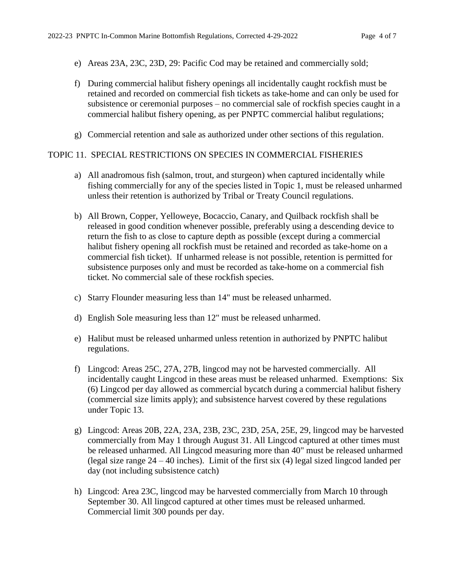- e) Areas 23A, 23C, 23D, 29: Pacific Cod may be retained and commercially sold;
- f) During commercial halibut fishery openings all incidentally caught rockfish must be retained and recorded on commercial fish tickets as take-home and can only be used for subsistence or ceremonial purposes – no commercial sale of rockfish species caught in a commercial halibut fishery opening, as per PNPTC commercial halibut regulations;
- g) Commercial retention and sale as authorized under other sections of this regulation.

#### TOPIC 11. SPECIAL RESTRICTIONS ON SPECIES IN COMMERCIAL FISHERIES

- a) All anadromous fish (salmon, trout, and sturgeon) when captured incidentally while fishing commercially for any of the species listed in Topic 1, must be released unharmed unless their retention is authorized by Tribal or Treaty Council regulations.
- b) All Brown, Copper, Yelloweye, Bocaccio, Canary, and Quilback rockfish shall be released in good condition whenever possible, preferably using a descending device to return the fish to as close to capture depth as possible (except during a commercial halibut fishery opening all rockfish must be retained and recorded as take-home on a commercial fish ticket). If unharmed release is not possible, retention is permitted for subsistence purposes only and must be recorded as take-home on a commercial fish ticket. No commercial sale of these rockfish species.
- c) Starry Flounder measuring less than 14" must be released unharmed.
- d) English Sole measuring less than 12" must be released unharmed.
- e) Halibut must be released unharmed unless retention in authorized by PNPTC halibut regulations.
- f) Lingcod: Areas 25C, 27A, 27B, lingcod may not be harvested commercially. All incidentally caught Lingcod in these areas must be released unharmed. Exemptions: Six (6) Lingcod per day allowed as commercial bycatch during a commercial halibut fishery (commercial size limits apply); and subsistence harvest covered by these regulations under Topic 13.
- g) Lingcod: Areas 20B, 22A, 23A, 23B, 23C, 23D, 25A, 25E, 29, lingcod may be harvested commercially from May 1 through August 31. All Lingcod captured at other times must be released unharmed. All Lingcod measuring more than 40" must be released unharmed (legal size range  $24 - 40$  inches). Limit of the first six (4) legal sized lingcod landed per day (not including subsistence catch)
- h) Lingcod: Area 23C, lingcod may be harvested commercially from March 10 through September 30. All lingcod captured at other times must be released unharmed. Commercial limit 300 pounds per day.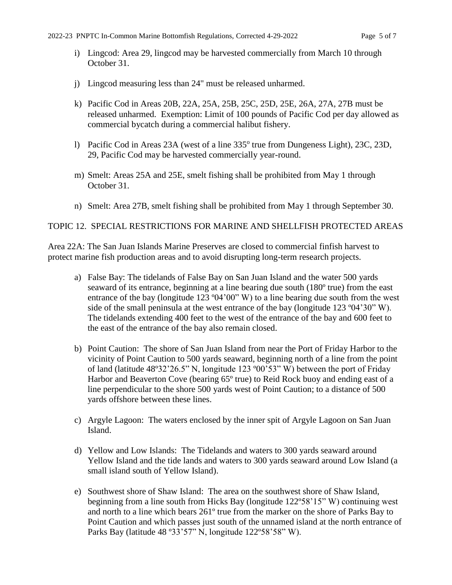- i) Lingcod: Area 29, lingcod may be harvested commercially from March 10 through October 31.
- j) Lingcod measuring less than 24" must be released unharmed.
- k) Pacific Cod in Areas 20B, 22A, 25A, 25B, 25C, 25D, 25E, 26A, 27A, 27B must be released unharmed. Exemption: Limit of 100 pounds of Pacific Cod per day allowed as commercial bycatch during a commercial halibut fishery.
- 1) Pacific Cod in Areas 23A (west of a line 335° true from Dungeness Light), 23C, 23D, 29, Pacific Cod may be harvested commercially year-round.
- m) Smelt: Areas 25A and 25E, smelt fishing shall be prohibited from May 1 through October 31.
- n) Smelt: Area 27B, smelt fishing shall be prohibited from May 1 through September 30.

## TOPIC 12. SPECIAL RESTRICTIONS FOR MARINE AND SHELLFISH PROTECTED AREAS

Area 22A: The San Juan Islands Marine Preserves are closed to commercial finfish harvest to protect marine fish production areas and to avoid disrupting long-term research projects.

- a) False Bay: The tidelands of False Bay on San Juan Island and the water 500 yards seaward of its entrance, beginning at a line bearing due south (180º true) from the east entrance of the bay (longitude 123  $\degree$ 04'00" W) to a line bearing due south from the west side of the small peninsula at the west entrance of the bay (longitude 123 º04'30" W). The tidelands extending 400 feet to the west of the entrance of the bay and 600 feet to the east of the entrance of the bay also remain closed.
- b) Point Caution: The shore of San Juan Island from near the Port of Friday Harbor to the vicinity of Point Caution to 500 yards seaward, beginning north of a line from the point of land (latitude 48º32'26.5" N, longitude 123 º00'53" W) between the port of Friday Harbor and Beaverton Cove (bearing 65<sup>°</sup> true) to Reid Rock buoy and ending east of a line perpendicular to the shore 500 yards west of Point Caution; to a distance of 500 yards offshore between these lines.
- c) Argyle Lagoon: The waters enclosed by the inner spit of Argyle Lagoon on San Juan Island.
- d) Yellow and Low Islands: The Tidelands and waters to 300 yards seaward around Yellow Island and the tide lands and waters to 300 yards seaward around Low Island (a small island south of Yellow Island).
- e) Southwest shore of Shaw Island: The area on the southwest shore of Shaw Island, beginning from a line south from Hicks Bay (longitude 122º58'15" W) continuing west and north to a line which bears 261º true from the marker on the shore of Parks Bay to Point Caution and which passes just south of the unnamed island at the north entrance of Parks Bay (latitude 48 º33'57" N, longitude 122º58'58" W).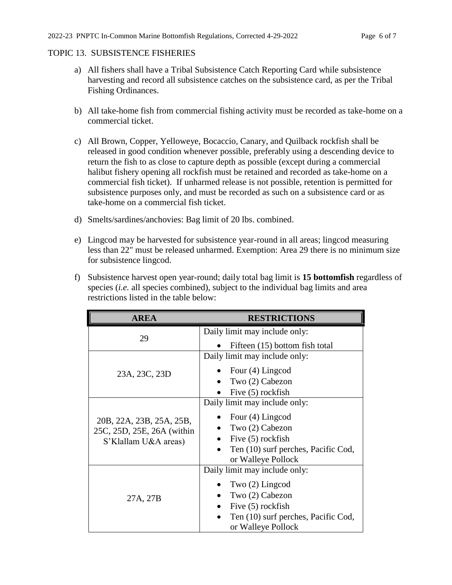#### TOPIC 13. SUBSISTENCE FISHERIES

- a) All fishers shall have a Tribal Subsistence Catch Reporting Card while subsistence harvesting and record all subsistence catches on the subsistence card, as per the Tribal Fishing Ordinances.
- b) All take-home fish from commercial fishing activity must be recorded as take-home on a commercial ticket.
- c) All Brown, Copper, Yelloweye, Bocaccio, Canary, and Quilback rockfish shall be released in good condition whenever possible, preferably using a descending device to return the fish to as close to capture depth as possible (except during a commercial halibut fishery opening all rockfish must be retained and recorded as take-home on a commercial fish ticket). If unharmed release is not possible, retention is permitted for subsistence purposes only, and must be recorded as such on a subsistence card or as take-home on a commercial fish ticket.
- d) Smelts/sardines/anchovies: Bag limit of 20 lbs. combined.
- e) Lingcod may be harvested for subsistence year-round in all areas; lingcod measuring less than 22" must be released unharmed. Exemption: Area 29 there is no minimum size for subsistence lingcod.
- f) Subsistence harvest open year-round; daily total bag limit is **15 bottomfish** regardless of species (*i.e.* all species combined), subject to the individual bag limits and area restrictions listed in the table below:

| <b>AREA</b>                                                                    | <b>RESTRICTIONS</b>                                                                                                                                     |
|--------------------------------------------------------------------------------|---------------------------------------------------------------------------------------------------------------------------------------------------------|
| 29                                                                             | Daily limit may include only:<br>Fifteen (15) bottom fish total                                                                                         |
| 23A, 23C, 23D                                                                  | Daily limit may include only:<br>Four (4) Lingcod<br>Two (2) Cabezon<br>Five (5) rockfish                                                               |
| 20B, 22A, 23B, 25A, 25B,<br>25C, 25D, 25E, 26A (within<br>S'Klallam U&A areas) | Daily limit may include only:<br>Four (4) Lingcod<br>Two (2) Cabezon<br>Five (5) rockfish<br>Ten (10) surf perches, Pacific Cod,<br>or Walleye Pollock  |
| 27A, 27B                                                                       | Daily limit may include only:<br>Two $(2)$ Lingcod<br>Two (2) Cabezon<br>Five (5) rockfish<br>Ten (10) surf perches, Pacific Cod,<br>or Walleye Pollock |